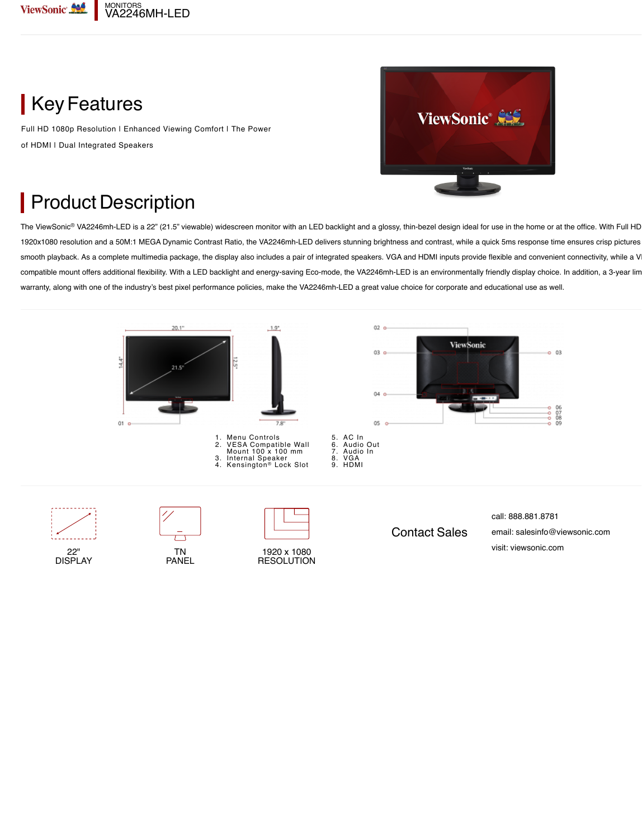

**Key Features** 

Full HD 1080p Resolution | Enhanced Viewing Comfort | The Power of HDMI I Dual Integrated Speakers



## Product Description

The ViewSonic® VA2246mh-LED is a 22" (21.5" viewable) widescreen monitor with an LED backlight and a glossy, thin-bezel design ideal for use in the home or at the office. With Full HD 1920x1080 resolution and a 50M:1 MEGA Dynamic Contrast Ratio, the VA2246mh-LED delivers stunning brightness and contrast, while a quick 5ms response time ensures crisp pictures and smooth playback. As a complete multimedia package, the display also includes a pair of integrated speakers. VGA and HDMI inputs provide flexible and convenient connectivity, while a V compatible mount offers additional flexibility. With a LED backlight and energy-saving Eco-mode, the VA2246mh-LED is an environmentally friendly display choice. In addition, a 3-year lim warranty, along with one of the industry's best pixel performance policies, make the VA2246mh-LED a great value choice for corporate and educational use as well.